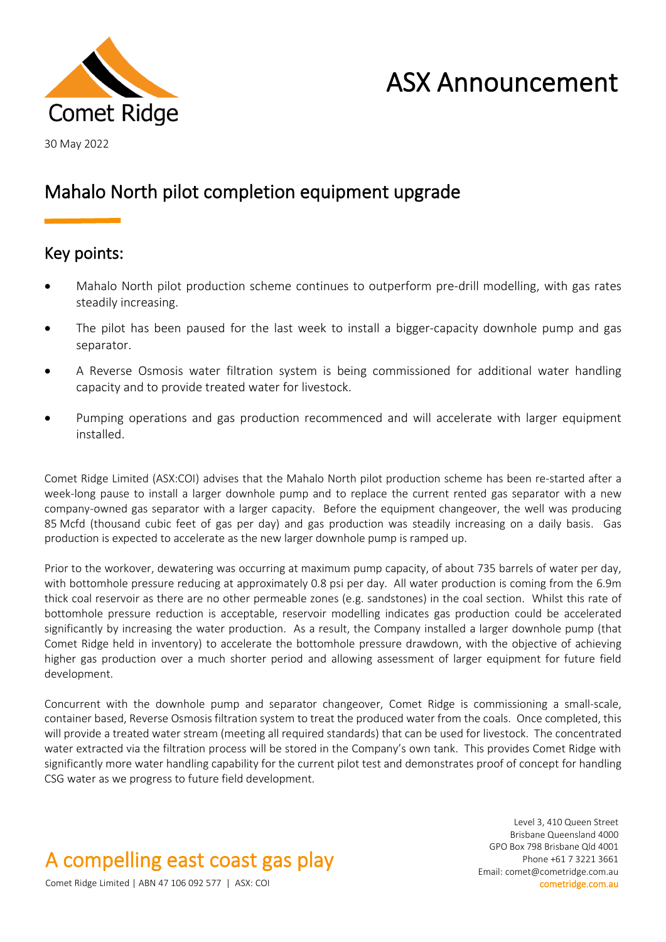

# ASX Announcement

30 May 2022

### Mahalo North pilot completion equipment upgrade

### Key points:

- Mahalo North pilot production scheme continues to outperform pre-drill modelling, with gas rates steadily increasing.
- The pilot has been paused for the last week to install a bigger-capacity downhole pump and gas separator.
- A Reverse Osmosis water filtration system is being commissioned for additional water handling capacity and to provide treated water for livestock.
- Pumping operations and gas production recommenced and will accelerate with larger equipment installed.

Comet Ridge Limited (ASX:COI) advises that the Mahalo North pilot production scheme has been re-started after a week-long pause to install a larger downhole pump and to replace the current rented gas separator with a new company-owned gas separator with a larger capacity. Before the equipment changeover, the well was producing 85 Mcfd (thousand cubic feet of gas per day) and gas production was steadily increasing on a daily basis. Gas production is expected to accelerate as the new larger downhole pump is ramped up.

Prior to the workover, dewatering was occurring at maximum pump capacity, of about 735 barrels of water per day, with bottomhole pressure reducing at approximately 0.8 psi per day. All water production is coming from the 6.9m thick coal reservoir as there are no other permeable zones (e.g. sandstones) in the coal section. Whilst this rate of bottomhole pressure reduction is acceptable, reservoir modelling indicates gas production could be accelerated significantly by increasing the water production. As a result, the Company installed a larger downhole pump (that Comet Ridge held in inventory) to accelerate the bottomhole pressure drawdown, with the objective of achieving higher gas production over a much shorter period and allowing assessment of larger equipment for future field development.

Concurrent with the downhole pump and separator changeover, Comet Ridge is commissioning a small-scale, container based, Reverse Osmosis filtration system to treat the produced water from the coals. Once completed, this will provide a treated water stream (meeting all required standards) that can be used for livestock. The concentrated water extracted via the filtration process will be stored in the Company's own tank. This provides Comet Ridge with significantly more water handling capability for the current pilot test and demonstrates proof of concept for handling CSG water as we progress to future field development.

## A compelling east coast gas play

Level 3, 410 Queen Street Brisbane Queensland 4000 GPO Box 798 Brisbane Qld 4001 Phone +61 7 3221 3661 Email: comet@cometridge.com.au

Comet Ridge Limited | ABN 47 106 092 577 | ASX: COI cometridge.com.au cometridge.com.au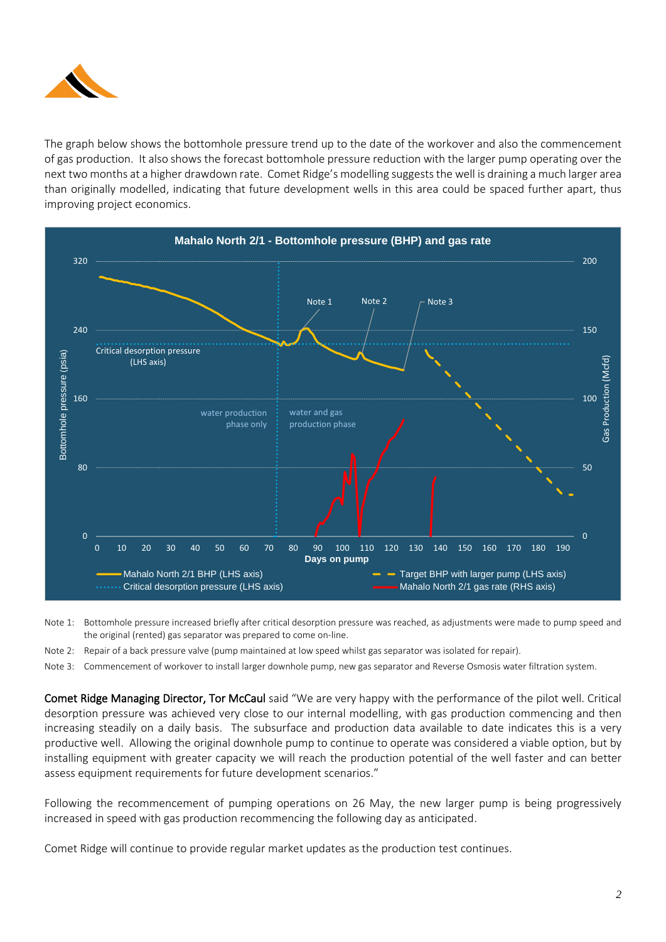

The graph below shows the bottomhole pressure trend up to the date of the workover and also the commencement of gas production. It also shows the forecast bottomhole pressure reduction with the larger pump operating over the next two months at a higher drawdown rate. Comet Ridge's modelling suggests the well is draining a much larger area than originally modelled, indicating that future development wells in this area could be spaced further apart, thus improving project economics.



Note 1: Bottomhole pressure increased briefly after critical desorption pressure was reached, as adjustments were made to pump speed and the original (rented) gas separator was prepared to come on-line.

Note 2: Repair of a back pressure valve (pump maintained at low speed whilst gas separator was isolated for repair).

Note 3: Commencement of workover to install larger downhole pump, new gas separator and Reverse Osmosis water filtration system.

Comet Ridge Managing Director, Tor McCaul said "We are very happy with the performance of the pilot well. Critical desorption pressure was achieved very close to our internal modelling, with gas production commencing and then increasing steadily on a daily basis. The subsurface and production data available to date indicates this is a very productive well. Allowing the original downhole pump to continue to operate was considered a viable option, but by installing equipment with greater capacity we will reach the production potential of the well faster and can better assess equipment requirements for future development scenarios."

Following the recommencement of pumping operations on 26 May, the new larger pump is being progressively increased in speed with gas production recommencing the following day as anticipated.

Comet Ridge will continue to provide regular market updates as the production test continues.